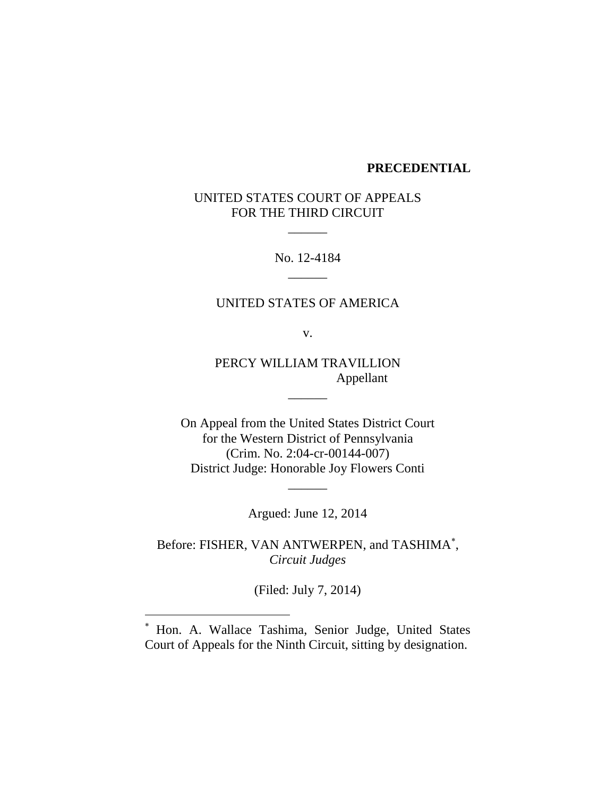#### **PRECEDENTIAL**

# UNITED STATES COURT OF APPEALS FOR THE THIRD CIRCUIT

 $\overline{\phantom{a}}$ 

No. 12-4184  $\frac{1}{2}$ 

## UNITED STATES OF AMERICA

v.

PERCY WILLIAM TRAVILLION Appellant

 $\overline{\phantom{a}}$ 

On Appeal from the United States District Court for the Western District of Pennsylvania (Crim. No. 2:04-cr-00144-007) District Judge: Honorable Joy Flowers Conti

Argued: June 12, 2014

 $\overline{\phantom{a}}$ 

Before: FISHER, VAN ANTWERPEN, and TASHIMA , *Circuit Judges*

(Filed: July 7, 2014)

Hon. A. Wallace Tashima, Senior Judge, United States Court of Appeals for the Ninth Circuit, sitting by designation.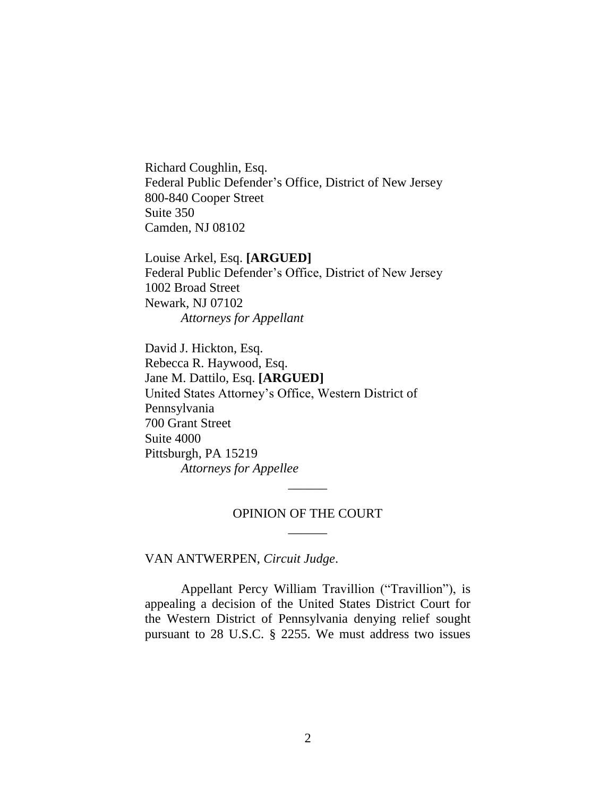Richard Coughlin, Esq. Federal Public Defender's Office, District of New Jersey 800-840 Cooper Street Suite 350 Camden, NJ 08102

Louise Arkel, Esq. **[ARGUED]** Federal Public Defender's Office, District of New Jersey 1002 Broad Street Newark, NJ 07102 *Attorneys for Appellant*

David J. Hickton, Esq. Rebecca R. Haywood, Esq. Jane M. Dattilo, Esq. **[ARGUED]** United States Attorney's Office, Western District of Pennsylvania 700 Grant Street Suite 4000 Pittsburgh, PA 15219 *Attorneys for Appellee*

## OPINION OF THE COURT  $\overline{\phantom{a}}$

 $\overline{\phantom{a}}$ 

VAN ANTWERPEN, *Circuit Judge*.

Appellant Percy William Travillion ("Travillion"), is appealing a decision of the United States District Court for the Western District of Pennsylvania denying relief sought pursuant to 28 U.S.C. § 2255. We must address two issues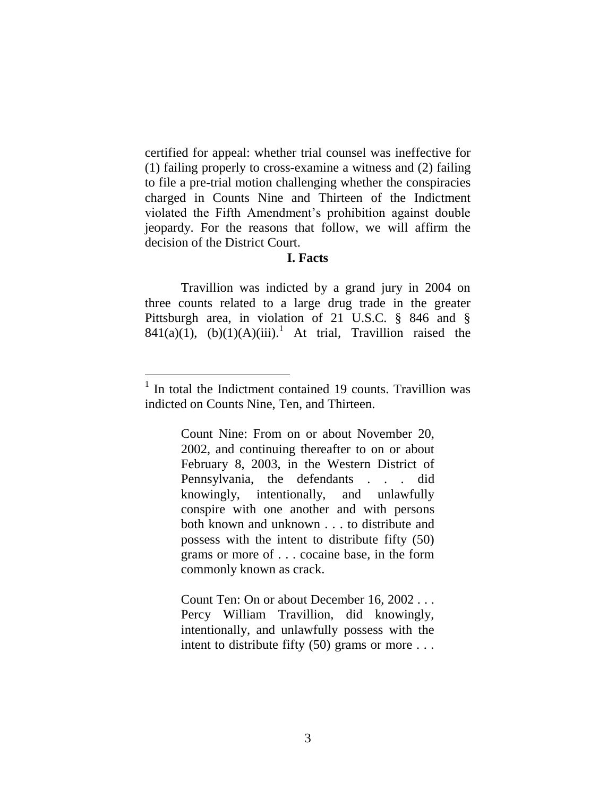certified for appeal: whether trial counsel was ineffective for (1) failing properly to cross-examine a witness and (2) failing to file a pre-trial motion challenging whether the conspiracies charged in Counts Nine and Thirteen of the Indictment violated the Fifth Amendment's prohibition against double jeopardy. For the reasons that follow, we will affirm the decision of the District Court.

#### **I. Facts**

Travillion was indicted by a grand jury in 2004 on three counts related to a large drug trade in the greater Pittsburgh area, in violation of 21 U.S.C. § 846 and § 841(a)(1), (b)(1)(A)(iii).<sup>1</sup> At trial, Travillion raised the

 $\overline{a}$ 

Count Nine: From on or about November 20, 2002, and continuing thereafter to on or about February 8, 2003, in the Western District of Pennsylvania, the defendants . . . did knowingly, intentionally, and unlawfully conspire with one another and with persons both known and unknown . . . to distribute and possess with the intent to distribute fifty (50) grams or more of . . . cocaine base, in the form commonly known as crack.

Count Ten: On or about December 16, 2002 . . . Percy William Travillion, did knowingly, intentionally, and unlawfully possess with the intent to distribute fifty (50) grams or more . . .

<sup>&</sup>lt;sup>1</sup> In total the Indictment contained 19 counts. Travillion was indicted on Counts Nine, Ten, and Thirteen.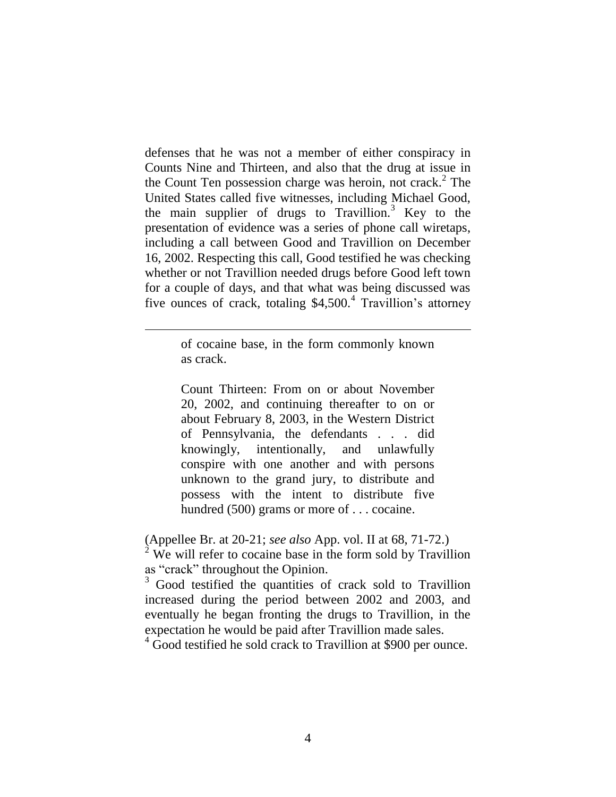defenses that he was not a member of either conspiracy in Counts Nine and Thirteen, and also that the drug at issue in the Count Ten possession charge was heroin, not crack.<sup>2</sup> The United States called five witnesses, including Michael Good, the main supplier of drugs to Travillion.<sup>3</sup> Key to the presentation of evidence was a series of phone call wiretaps, including a call between Good and Travillion on December 16, 2002. Respecting this call, Good testified he was checking whether or not Travillion needed drugs before Good left town for a couple of days, and that what was being discussed was five ounces of crack, totaling  $$4,500$ .<sup>4</sup> Travillion's attorney

> of cocaine base, in the form commonly known as crack.

Count Thirteen: From on or about November 20, 2002, and continuing thereafter to on or about February 8, 2003, in the Western District of Pennsylvania, the defendants . . . did knowingly, intentionally, and unlawfully conspire with one another and with persons unknown to the grand jury, to distribute and possess with the intent to distribute five hundred (500) grams or more of . . . cocaine.

(Appellee Br. at 20-21; *see also* App. vol. II at 68, 71-72.)

 $2$  We will refer to cocaine base in the form sold by Travillion as "crack" throughout the Opinion.

<sup>3</sup> Good testified the quantities of crack sold to Travillion increased during the period between 2002 and 2003, and eventually he began fronting the drugs to Travillion, in the expectation he would be paid after Travillion made sales.

<sup>4</sup> Good testified he sold crack to Travillion at \$900 per ounce.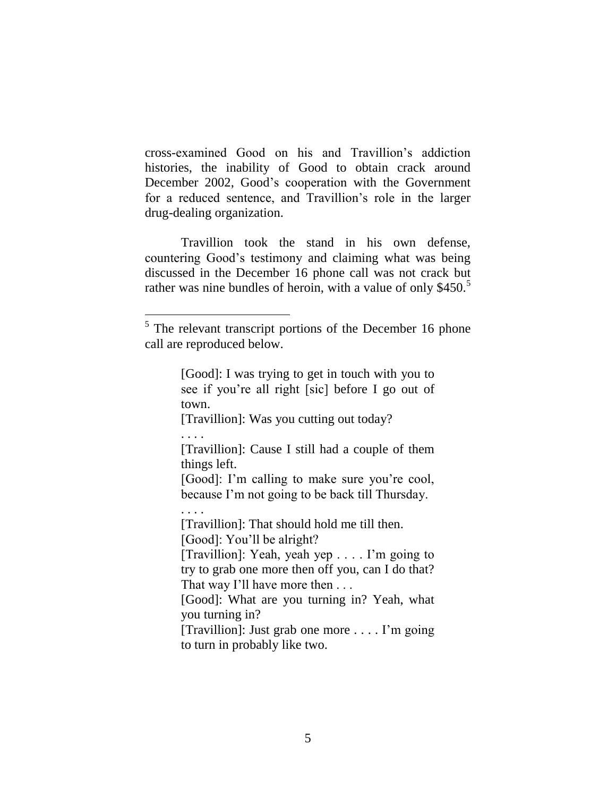cross-examined Good on his and Travillion's addiction histories, the inability of Good to obtain crack around December 2002, Good's cooperation with the Government for a reduced sentence, and Travillion's role in the larger drug-dealing organization.

Travillion took the stand in his own defense, countering Good's testimony and claiming what was being discussed in the December 16 phone call was not crack but rather was nine bundles of heroin, with a value of only \$450.<sup>5</sup>

[Good]: I was trying to get in touch with you to see if you're all right [sic] before I go out of town.

[Travillion]: Was you cutting out today?

. . . .

 $\overline{a}$ 

[Travillion]: Cause I still had a couple of them things left.

[Good]: I'm calling to make sure you're cool, because I'm not going to be back till Thursday.

. . . .

[Travillion]: That should hold me till then.

[Good]: You'll be alright?

[Travillion]: Yeah, yeah yep . . . . I'm going to try to grab one more then off you, can I do that? That way I'll have more then . . .

[Good]: What are you turning in? Yeah, what you turning in?

[Travillion]: Just grab one more . . . . I'm going to turn in probably like two.

<sup>&</sup>lt;sup>5</sup> The relevant transcript portions of the December 16 phone call are reproduced below.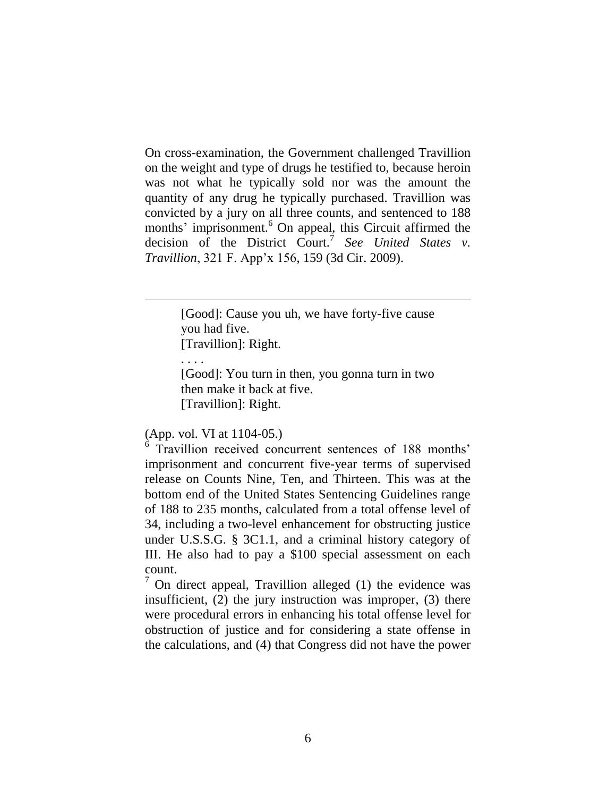On cross-examination, the Government challenged Travillion on the weight and type of drugs he testified to, because heroin was not what he typically sold nor was the amount the quantity of any drug he typically purchased. Travillion was convicted by a jury on all three counts, and sentenced to 188 months' imprisonment.<sup>6</sup> On appeal, this Circuit affirmed the decision of the District Court.<sup>7</sup> See United States v. *Travillion*, 321 F. App'x 156, 159 (3d Cir. 2009).

> [Good]: Cause you uh, we have forty-five cause you had five. [Travillion]: Right.

. . . .

 $\overline{a}$ 

[Good]: You turn in then, you gonna turn in two then make it back at five. [Travillion]: Right.

(App. vol. VI at 1104-05.)

<sup>6</sup> Travillion received concurrent sentences of 188 months' imprisonment and concurrent five-year terms of supervised release on Counts Nine, Ten, and Thirteen. This was at the bottom end of the United States Sentencing Guidelines range of 188 to 235 months, calculated from a total offense level of 34, including a two-level enhancement for obstructing justice under U.S.S.G. § 3C1.1, and a criminal history category of III. He also had to pay a \$100 special assessment on each count.

 $7$  On direct appeal, Travillion alleged (1) the evidence was insufficient, (2) the jury instruction was improper, (3) there were procedural errors in enhancing his total offense level for obstruction of justice and for considering a state offense in the calculations, and (4) that Congress did not have the power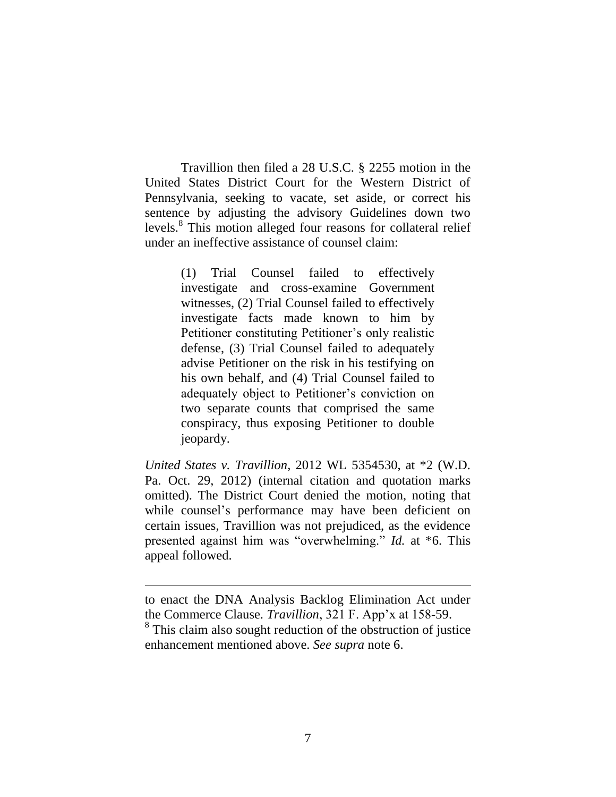Travillion then filed a 28 U.S.C. § 2255 motion in the United States District Court for the Western District of Pennsylvania, seeking to vacate, set aside, or correct his sentence by adjusting the advisory Guidelines down two levels.<sup>8</sup> This motion alleged four reasons for collateral relief under an ineffective assistance of counsel claim:

> (1) Trial Counsel failed to effectively investigate and cross-examine Government witnesses, (2) Trial Counsel failed to effectively investigate facts made known to him by Petitioner constituting Petitioner's only realistic defense, (3) Trial Counsel failed to adequately advise Petitioner on the risk in his testifying on his own behalf, and (4) Trial Counsel failed to adequately object to Petitioner's conviction on two separate counts that comprised the same conspiracy, thus exposing Petitioner to double jeopardy.

*United States v. Travillion*, 2012 WL 5354530, at \*2 (W.D. Pa. Oct. 29, 2012) (internal citation and quotation marks omitted). The District Court denied the motion, noting that while counsel's performance may have been deficient on certain issues, Travillion was not prejudiced, as the evidence presented against him was "overwhelming." *Id.* at \*6. This appeal followed.

 $\overline{a}$ 

to enact the DNA Analysis Backlog Elimination Act under the Commerce Clause. *Travillion*, 321 F. App'x at 158-59.

<sup>&</sup>lt;sup>8</sup> This claim also sought reduction of the obstruction of justice enhancement mentioned above. *See supra* note 6.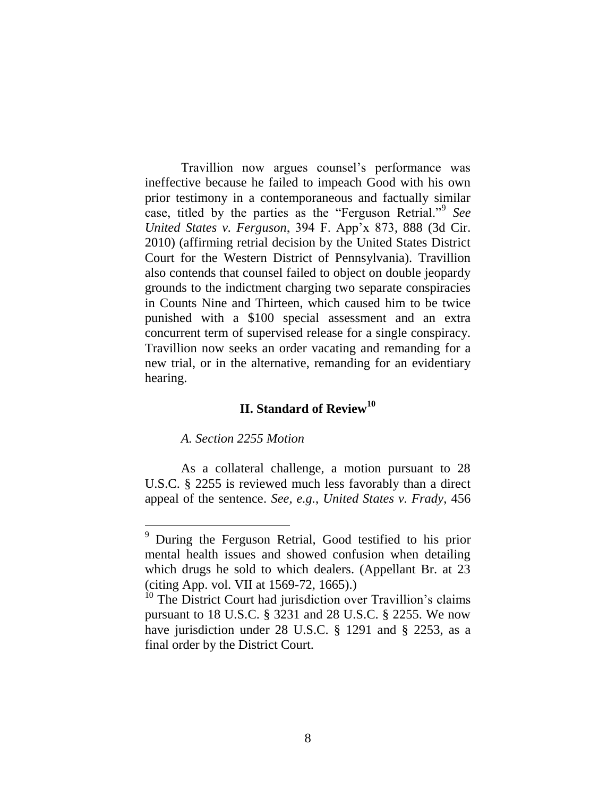Travillion now argues counsel's performance was ineffective because he failed to impeach Good with his own prior testimony in a contemporaneous and factually similar case, titled by the parties as the "Ferguson Retrial."<sup>9</sup> *See United States v. Ferguson*, 394 F. App'x 873, 888 (3d Cir. 2010) (affirming retrial decision by the United States District Court for the Western District of Pennsylvania). Travillion also contends that counsel failed to object on double jeopardy grounds to the indictment charging two separate conspiracies in Counts Nine and Thirteen, which caused him to be twice punished with a \$100 special assessment and an extra concurrent term of supervised release for a single conspiracy. Travillion now seeks an order vacating and remanding for a new trial, or in the alternative, remanding for an evidentiary hearing.

# **II. Standard of Review<sup>10</sup>**

# *A. Section 2255 Motion*

 $\overline{a}$ 

As a collateral challenge, a motion pursuant to 28 U.S.C. § 2255 is reviewed much less favorably than a direct appeal of the sentence. *See, e.g.*, *United States v. Frady*, 456

 $9$  During the Ferguson Retrial, Good testified to his prior mental health issues and showed confusion when detailing which drugs he sold to which dealers. (Appellant Br. at 23 (citing App. vol. VII at 1569-72, 1665).)

<sup>&</sup>lt;sup>10</sup> The District Court had jurisdiction over Travillion's claims pursuant to 18 U.S.C. § 3231 and 28 U.S.C. § 2255. We now have jurisdiction under 28 U.S.C. § 1291 and § 2253, as a final order by the District Court.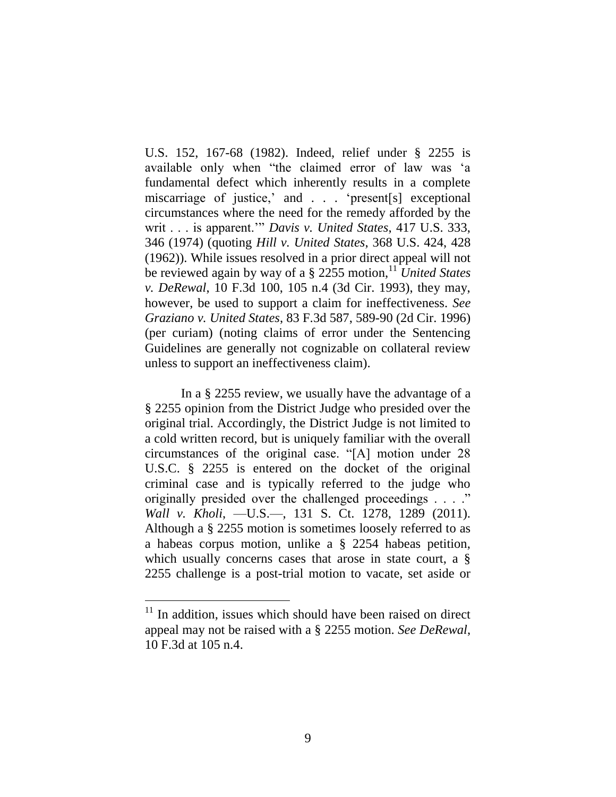U.S. 152, 167-68 (1982). Indeed, relief under § 2255 is available only when "the claimed error of law was 'a fundamental defect which inherently results in a complete miscarriage of justice,' and . . . 'present[s] exceptional circumstances where the need for the remedy afforded by the writ . . . is apparent.'" *Davis v. United States*, 417 U.S. 333, 346 (1974) (quoting *Hill v. United States*, 368 U.S. 424, 428 (1962)). While issues resolved in a prior direct appeal will not be reviewed again by way of a § 2255 motion,<sup>11</sup> *United States v. DeRewal*, 10 F.3d 100, 105 n.4 (3d Cir. 1993), they may, however, be used to support a claim for ineffectiveness. *See Graziano v. United States*, 83 F.3d 587, 589-90 (2d Cir. 1996) (per curiam) (noting claims of error under the Sentencing Guidelines are generally not cognizable on collateral review unless to support an ineffectiveness claim).

In a § 2255 review, we usually have the advantage of a § 2255 opinion from the District Judge who presided over the original trial. Accordingly, the District Judge is not limited to a cold written record, but is uniquely familiar with the overall circumstances of the original case. "[A] motion under 28 U.S.C. § 2255 is entered on the docket of the original criminal case and is typically referred to the judge who originally presided over the challenged proceedings . . . ." *Wall v. Kholi*, —U.S.—, 131 S. Ct. 1278, 1289 (2011). Although a § 2255 motion is sometimes loosely referred to as a habeas corpus motion, unlike a § 2254 habeas petition, which usually concerns cases that arose in state court, a § 2255 challenge is a post-trial motion to vacate, set aside or

 $\overline{a}$ 

 $11$  In addition, issues which should have been raised on direct appeal may not be raised with a § 2255 motion. *See DeRewal*, 10 F.3d at 105 n.4.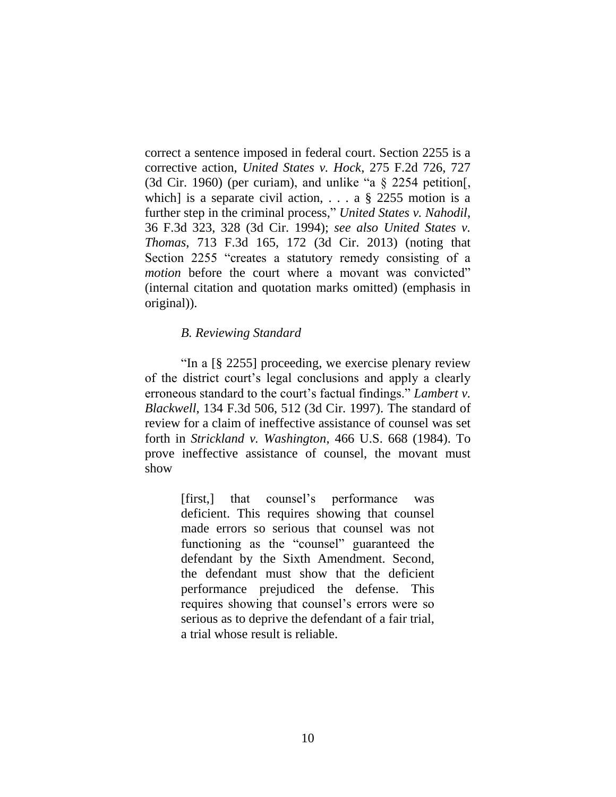correct a sentence imposed in federal court. Section 2255 is a corrective action, *United States v. Hock*, 275 F.2d 726, 727 (3d Cir. 1960) (per curiam), and unlike "a § 2254 petition[, which] is a separate civil action, ... a  $\S$  2255 motion is a further step in the criminal process," *United States v. Nahodil*, 36 F.3d 323, 328 (3d Cir. 1994); *see also United States v. Thomas*, 713 F.3d 165, 172 (3d Cir. 2013) (noting that Section 2255 "creates a statutory remedy consisting of a *motion* before the court where a movant was convicted" (internal citation and quotation marks omitted) (emphasis in original)).

## *B. Reviewing Standard*

"In a [§ 2255] proceeding, we exercise plenary review of the district court's legal conclusions and apply a clearly erroneous standard to the court's factual findings." *Lambert v. Blackwell*, 134 F.3d 506, 512 (3d Cir. 1997). The standard of review for a claim of ineffective assistance of counsel was set forth in *Strickland v. Washington*, 466 U.S. 668 (1984). To prove ineffective assistance of counsel, the movant must show

> [first,] that counsel's performance was deficient. This requires showing that counsel made errors so serious that counsel was not functioning as the "counsel" guaranteed the defendant by the Sixth Amendment. Second, the defendant must show that the deficient performance prejudiced the defense. This requires showing that counsel's errors were so serious as to deprive the defendant of a fair trial, a trial whose result is reliable.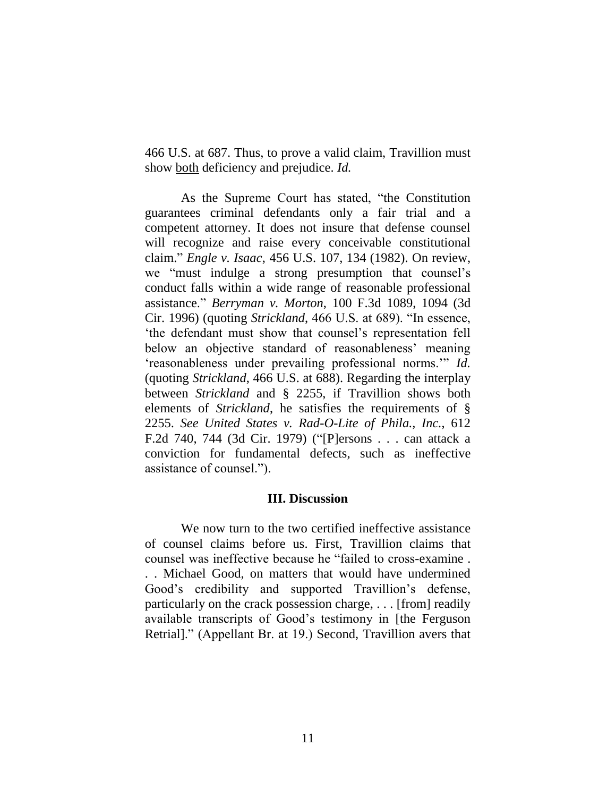466 U.S. at 687. Thus, to prove a valid claim, Travillion must show both deficiency and prejudice. *Id.*

As the Supreme Court has stated, "the Constitution guarantees criminal defendants only a fair trial and a competent attorney. It does not insure that defense counsel will recognize and raise every conceivable constitutional claim." *Engle v. Isaac*, 456 U.S. 107, 134 (1982). On review, we "must indulge a strong presumption that counsel's conduct falls within a wide range of reasonable professional assistance." *Berryman v. Morton*, 100 F.3d 1089, 1094 (3d Cir. 1996) (quoting *Strickland*, 466 U.S. at 689). "In essence, 'the defendant must show that counsel's representation fell below an objective standard of reasonableness' meaning 'reasonableness under prevailing professional norms.'" *Id.*  (quoting *Strickland*, 466 U.S. at 688). Regarding the interplay between *Strickland* and § 2255, if Travillion shows both elements of *Strickland*, he satisfies the requirements of § 2255. *See United States v. Rad-O-Lite of Phila., Inc.*, 612 F.2d 740, 744 (3d Cir. 1979) ("[P]ersons . . . can attack a conviction for fundamental defects, such as ineffective assistance of counsel.").

#### **III. Discussion**

We now turn to the two certified ineffective assistance of counsel claims before us. First, Travillion claims that counsel was ineffective because he "failed to cross-examine . . . Michael Good, on matters that would have undermined Good's credibility and supported Travillion's defense, particularly on the crack possession charge, . . . [from] readily available transcripts of Good's testimony in [the Ferguson Retrial]." (Appellant Br. at 19.) Second, Travillion avers that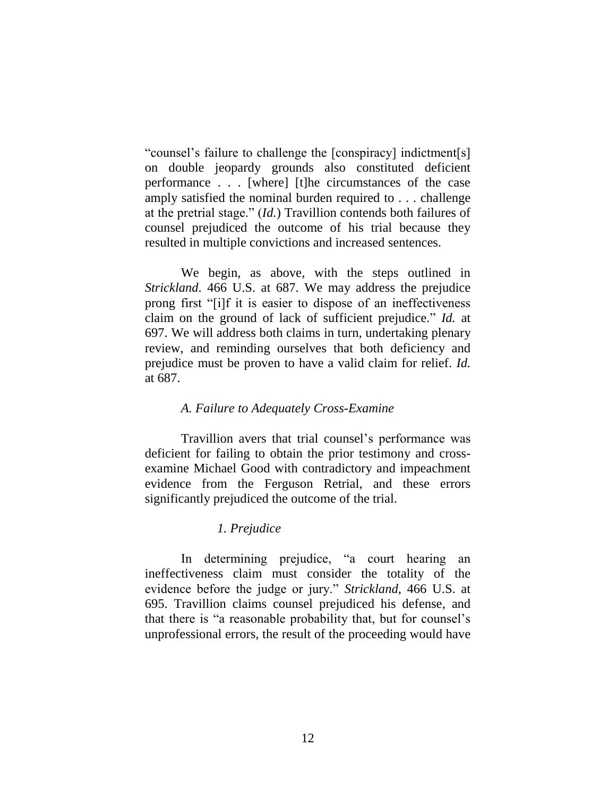"counsel's failure to challenge the [conspiracy] indictment[s] on double jeopardy grounds also constituted deficient performance . . . [where] [t]he circumstances of the case amply satisfied the nominal burden required to . . . challenge at the pretrial stage." (*Id.*) Travillion contends both failures of counsel prejudiced the outcome of his trial because they resulted in multiple convictions and increased sentences.

We begin, as above, with the steps outlined in *Strickland*. 466 U.S. at 687. We may address the prejudice prong first "[i]f it is easier to dispose of an ineffectiveness claim on the ground of lack of sufficient prejudice." *Id.* at 697. We will address both claims in turn, undertaking plenary review, and reminding ourselves that both deficiency and prejudice must be proven to have a valid claim for relief. *Id.*  at 687.

## *A. Failure to Adequately Cross-Examine*

Travillion avers that trial counsel's performance was deficient for failing to obtain the prior testimony and crossexamine Michael Good with contradictory and impeachment evidence from the Ferguson Retrial, and these errors significantly prejudiced the outcome of the trial.

## *1. Prejudice*

In determining prejudice, "a court hearing an ineffectiveness claim must consider the totality of the evidence before the judge or jury." *Strickland*, 466 U.S. at 695. Travillion claims counsel prejudiced his defense, and that there is "a reasonable probability that, but for counsel's unprofessional errors, the result of the proceeding would have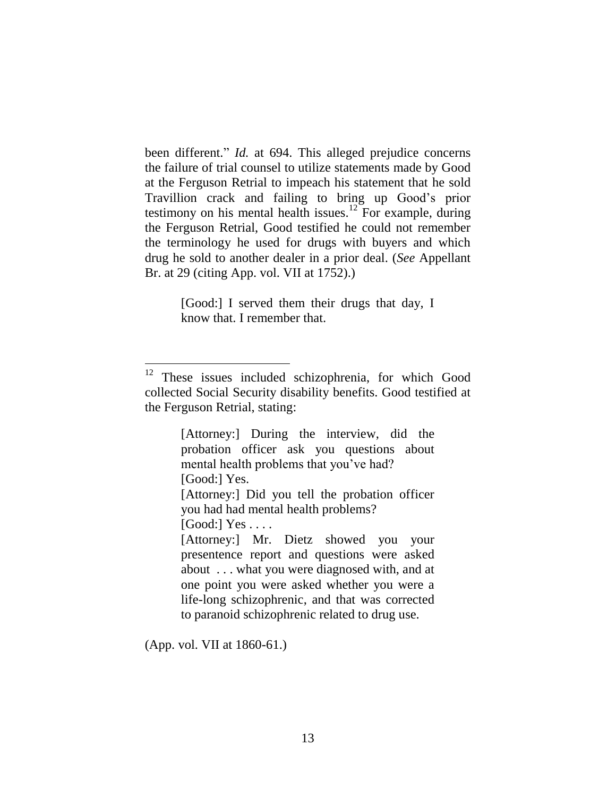been different." *Id.* at 694. This alleged prejudice concerns the failure of trial counsel to utilize statements made by Good at the Ferguson Retrial to impeach his statement that he sold Travillion crack and failing to bring up Good's prior testimony on his mental health issues.<sup>12</sup> For example, during the Ferguson Retrial, Good testified he could not remember the terminology he used for drugs with buyers and which drug he sold to another dealer in a prior deal. (*See* Appellant Br. at 29 (citing App. vol. VII at 1752).)

> [Good:] I served them their drugs that day, I know that. I remember that.

 $[Good:] Yes \dots$ 

[Attorney:] Mr. Dietz showed you your presentence report and questions were asked about . . . what you were diagnosed with, and at one point you were asked whether you were a life-long schizophrenic, and that was corrected to paranoid schizophrenic related to drug use.

(App. vol. VII at 1860-61.)

<sup>&</sup>lt;sup>12</sup> These issues included schizophrenia, for which Good collected Social Security disability benefits. Good testified at the Ferguson Retrial, stating:

<sup>[</sup>Attorney:] During the interview, did the probation officer ask you questions about mental health problems that you've had? [Good:] Yes.

<sup>[</sup>Attorney:] Did you tell the probation officer you had had mental health problems?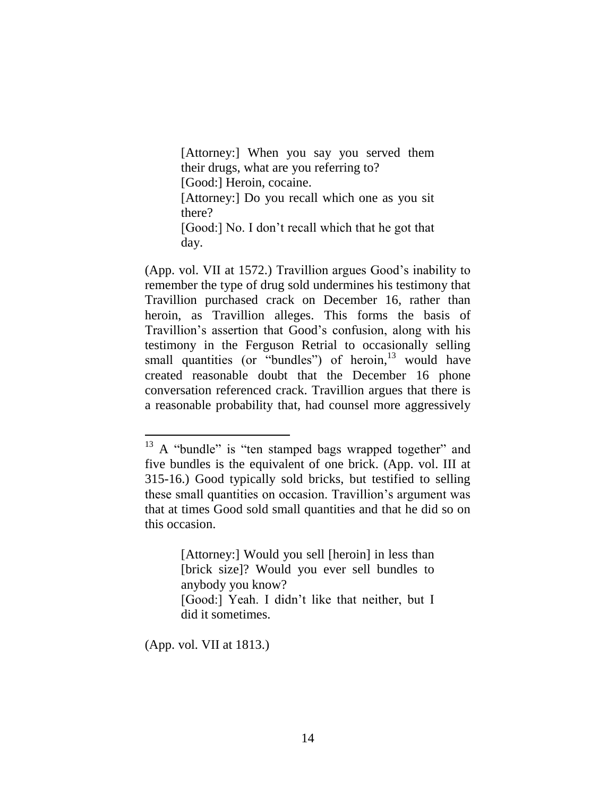[Attorney:] When you say you served them their drugs, what are you referring to? [Good:] Heroin, cocaine. [Attorney:] Do you recall which one as you sit there? [Good:] No. I don't recall which that he got that day.

(App. vol. VII at 1572.) Travillion argues Good's inability to remember the type of drug sold undermines his testimony that Travillion purchased crack on December 16, rather than heroin, as Travillion alleges. This forms the basis of Travillion's assertion that Good's confusion, along with his testimony in the Ferguson Retrial to occasionally selling small quantities (or "bundles") of heroin,<sup>13</sup> would have created reasonable doubt that the December 16 phone conversation referenced crack. Travillion argues that there is a reasonable probability that, had counsel more aggressively

[Attorney:] Would you sell [heroin] in less than [brick size]? Would you ever sell bundles to anybody you know? [Good:] Yeah. I didn't like that neither, but I

did it sometimes.

(App. vol. VII at 1813.)

<sup>&</sup>lt;sup>13</sup> A "bundle" is "ten stamped bags wrapped together" and five bundles is the equivalent of one brick. (App. vol. III at 315-16.) Good typically sold bricks, but testified to selling these small quantities on occasion. Travillion's argument was that at times Good sold small quantities and that he did so on this occasion.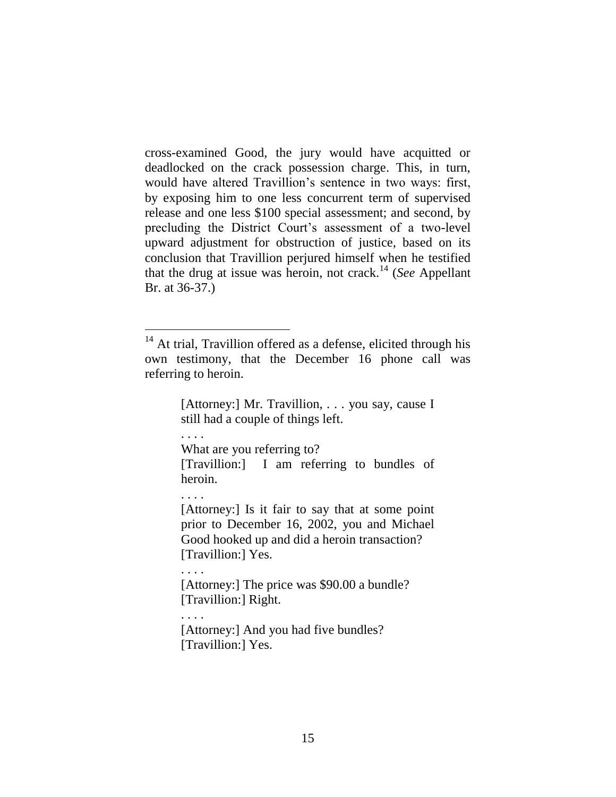cross-examined Good, the jury would have acquitted or deadlocked on the crack possession charge. This, in turn, would have altered Travillion's sentence in two ways: first, by exposing him to one less concurrent term of supervised release and one less \$100 special assessment; and second, by precluding the District Court's assessment of a two-level upward adjustment for obstruction of justice, based on its conclusion that Travillion perjured himself when he testified that the drug at issue was heroin, not crack.<sup>14</sup> (*See* Appellant Br. at 36-37.)

[Attorney:] Mr. Travillion, . . . you say, cause I still had a couple of things left.

. . . .

What are you referring to?

[Travillion:] I am referring to bundles of heroin.

. . . .

[Attorney:] Is it fair to say that at some point prior to December 16, 2002, you and Michael Good hooked up and did a heroin transaction? [Travillion:] Yes.

. . . .

[Attorney:] The price was \$90.00 a bundle? [Travillion:] Right.

. . . .

[Attorney:] And you had five bundles? [Travillion:] Yes.

<sup>&</sup>lt;sup>14</sup> At trial, Travillion offered as a defense, elicited through his own testimony, that the December 16 phone call was referring to heroin.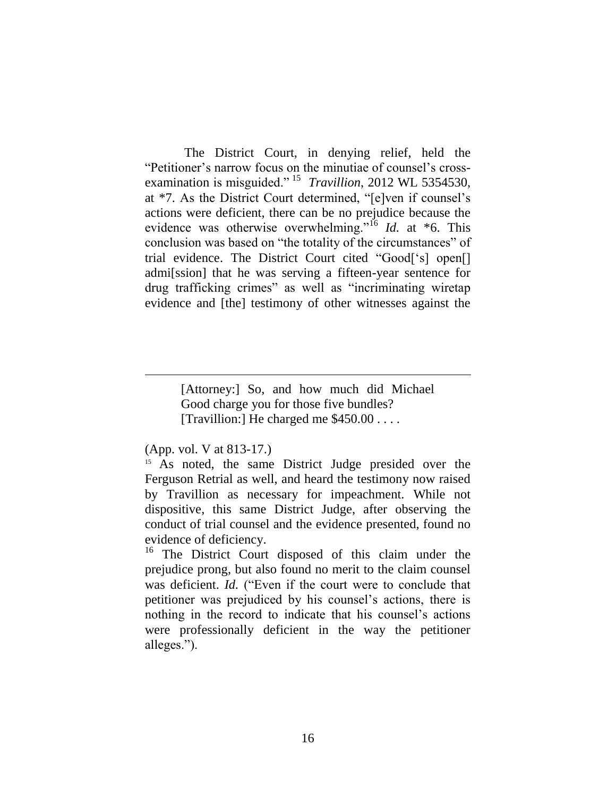The District Court, in denying relief, held the "Petitioner's narrow focus on the minutiae of counsel's crossexamination is misguided." <sup>15</sup> *Travillion*, 2012 WL 5354530, at \*7. As the District Court determined, "[e]ven if counsel's actions were deficient, there can be no prejudice because the evidence was otherwise overwhelming."<sup>16</sup> *Id.* at \*6. This conclusion was based on "the totality of the circumstances" of trial evidence. The District Court cited "Good['s] open[] admi[ssion] that he was serving a fifteen-year sentence for drug trafficking crimes" as well as "incriminating wiretap evidence and [the] testimony of other witnesses against the

> [Attorney:] So, and how much did Michael Good charge you for those five bundles? [Travillion:] He charged me \$450.00 . . . .

## (App. vol. V at 813-17.)

 $\overline{a}$ 

<sup>15</sup> As noted, the same District Judge presided over the Ferguson Retrial as well, and heard the testimony now raised by Travillion as necessary for impeachment. While not dispositive, this same District Judge, after observing the conduct of trial counsel and the evidence presented, found no evidence of deficiency.

<sup>16</sup> The District Court disposed of this claim under the prejudice prong, but also found no merit to the claim counsel was deficient. *Id.* ("Even if the court were to conclude that petitioner was prejudiced by his counsel's actions, there is nothing in the record to indicate that his counsel's actions were professionally deficient in the way the petitioner alleges.").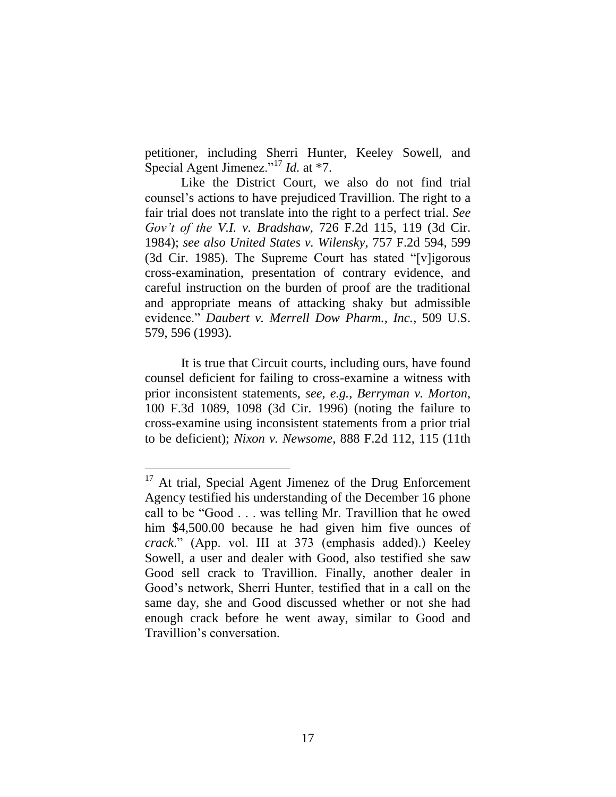petitioner, including Sherri Hunter, Keeley Sowell, and Special Agent Jimenez."<sup>17</sup> *Id.* at \*7.

Like the District Court, we also do not find trial counsel's actions to have prejudiced Travillion. The right to a fair trial does not translate into the right to a perfect trial. *See Gov't of the V.I. v. Bradshaw*, 726 F.2d 115, 119 (3d Cir. 1984); *see also United States v. Wilensky*, 757 F.2d 594, 599 (3d Cir. 1985). The Supreme Court has stated "[v]igorous cross-examination, presentation of contrary evidence, and careful instruction on the burden of proof are the traditional and appropriate means of attacking shaky but admissible evidence." *Daubert v. Merrell Dow Pharm., Inc.*, 509 U.S. 579, 596 (1993).

It is true that Circuit courts, including ours, have found counsel deficient for failing to cross-examine a witness with prior inconsistent statements, *see, e.g.*, *Berryman v. Morton*, 100 F.3d 1089, 1098 (3d Cir. 1996) (noting the failure to cross-examine using inconsistent statements from a prior trial to be deficient); *Nixon v. Newsome*, 888 F.2d 112, 115 (11th

<sup>&</sup>lt;sup>17</sup> At trial, Special Agent Jimenez of the Drug Enforcement Agency testified his understanding of the December 16 phone call to be "Good . . . was telling Mr. Travillion that he owed him \$4,500.00 because he had given him five ounces of *crack*." (App. vol. III at 373 (emphasis added).) Keeley Sowell, a user and dealer with Good, also testified she saw Good sell crack to Travillion. Finally, another dealer in Good's network, Sherri Hunter, testified that in a call on the same day, she and Good discussed whether or not she had enough crack before he went away, similar to Good and Travillion's conversation.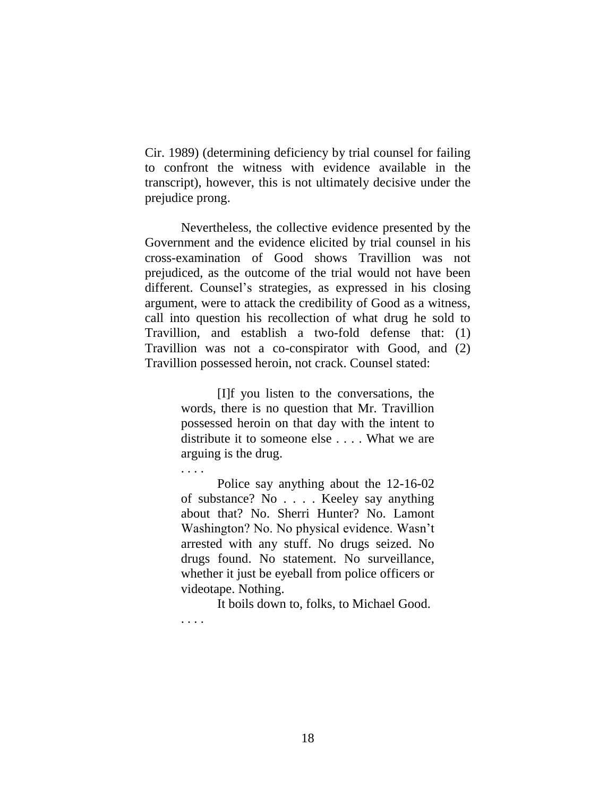Cir. 1989) (determining deficiency by trial counsel for failing to confront the witness with evidence available in the transcript), however, this is not ultimately decisive under the prejudice prong.

Nevertheless, the collective evidence presented by the Government and the evidence elicited by trial counsel in his cross-examination of Good shows Travillion was not prejudiced, as the outcome of the trial would not have been different. Counsel's strategies, as expressed in his closing argument, were to attack the credibility of Good as a witness, call into question his recollection of what drug he sold to Travillion, and establish a two-fold defense that: (1) Travillion was not a co-conspirator with Good, and (2) Travillion possessed heroin, not crack. Counsel stated:

> [I]f you listen to the conversations, the words, there is no question that Mr. Travillion possessed heroin on that day with the intent to distribute it to someone else . . . . What we are arguing is the drug.

. . . .

Police say anything about the 12-16-02 of substance? No . . . . Keeley say anything about that? No. Sherri Hunter? No. Lamont Washington? No. No physical evidence. Wasn't arrested with any stuff. No drugs seized. No drugs found. No statement. No surveillance, whether it just be eyeball from police officers or videotape. Nothing.

It boils down to, folks, to Michael Good. . . . .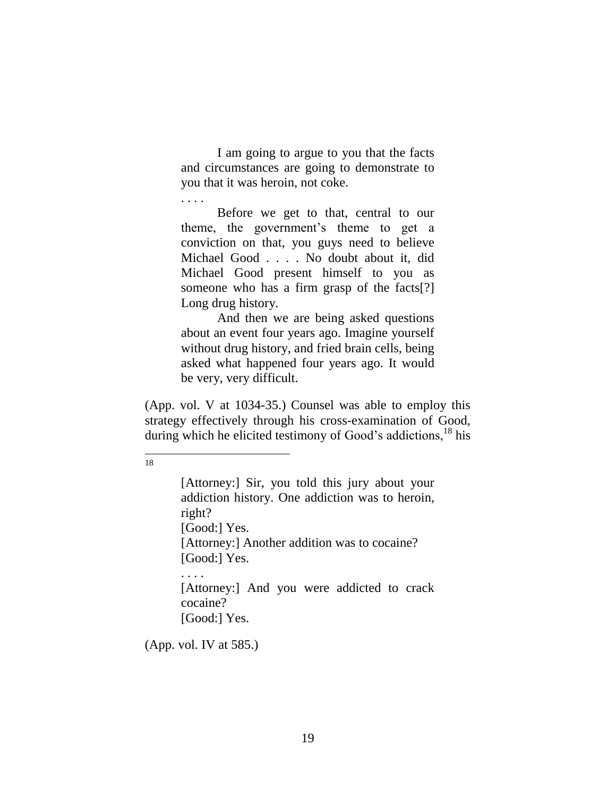I am going to argue to you that the facts and circumstances are going to demonstrate to you that it was heroin, not coke.

. . . .

Before we get to that, central to our theme, the government's theme to get a conviction on that, you guys need to believe Michael Good . . . . No doubt about it, did Michael Good present himself to you as someone who has a firm grasp of the facts[?] Long drug history.

And then we are being asked questions about an event four years ago. Imagine yourself without drug history, and fried brain cells, being asked what happened four years ago. It would be very, very difficult.

(App. vol. V at 1034-35.) Counsel was able to employ this strategy effectively through his cross-examination of Good, during which he elicited testimony of Good's addictions.<sup>18</sup> his

 $\overline{a}$ 18

> [Attorney:] Sir, you told this jury about your addiction history. One addiction was to heroin, right? [Good:] Yes. [Attorney:] Another addition was to cocaine? [Good:] Yes. . . . . [Attorney:] And you were addicted to crack

cocaine? [Good:] Yes.

(App. vol. IV at 585.)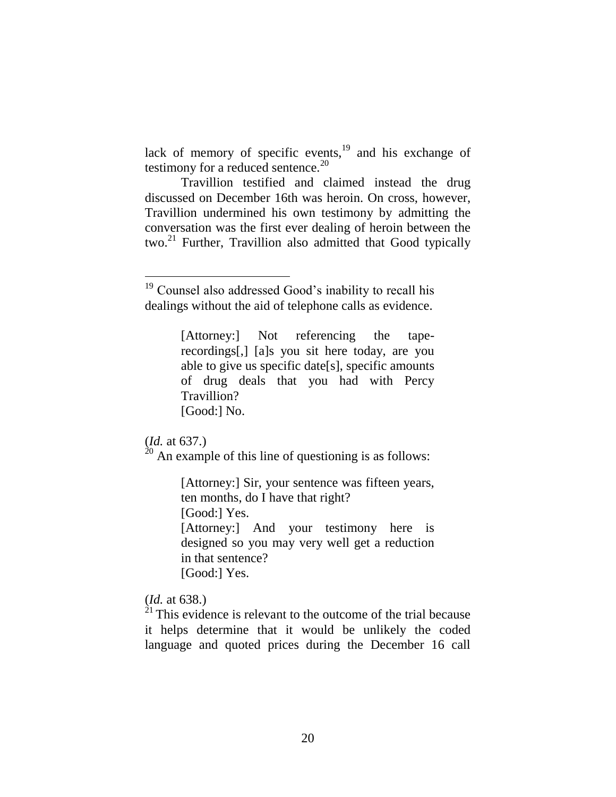lack of memory of specific events, $19$  and his exchange of testimony for a reduced sentence.<sup>20</sup>

Travillion testified and claimed instead the drug discussed on December 16th was heroin. On cross, however, Travillion undermined his own testimony by admitting the conversation was the first ever dealing of heroin between the two.<sup>21</sup> Further, Travillion also admitted that Good typically

[Attorney:] Not referencing the taperecordings[,] [a]s you sit here today, are you able to give us specific date[s], specific amounts of drug deals that you had with Percy Travillion? [Good:] No.

# (*Id.* at 637.)

 $20$  An example of this line of questioning is as follows:

[Attorney:] Sir, your sentence was fifteen years, ten months, do I have that right? [Good:] Yes.

[Attorney:] And your testimony here is designed so you may very well get a reduction in that sentence? [Good:] Yes.

(*Id.* at 638.)

 $^{21}$  This evidence is relevant to the outcome of the trial because it helps determine that it would be unlikely the coded language and quoted prices during the December 16 call

<sup>&</sup>lt;sup>19</sup> Counsel also addressed Good's inability to recall his dealings without the aid of telephone calls as evidence.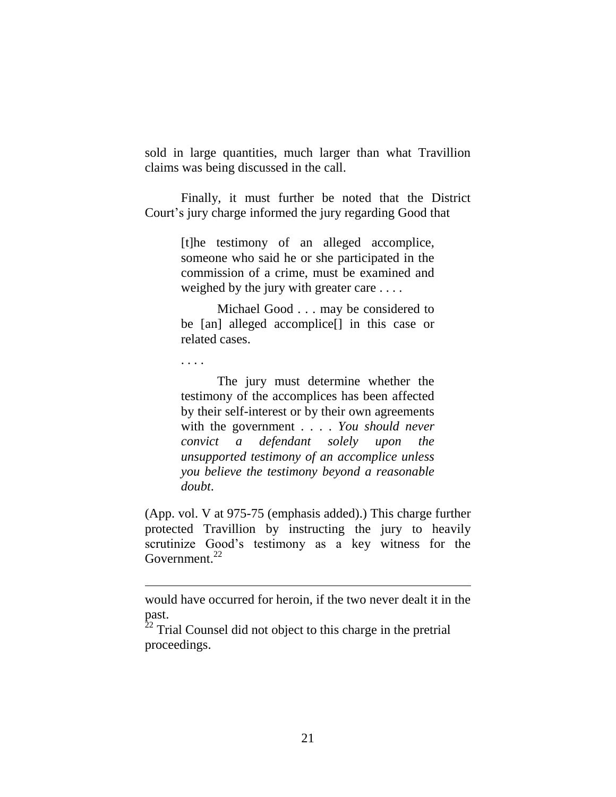sold in large quantities, much larger than what Travillion claims was being discussed in the call.

Finally, it must further be noted that the District Court's jury charge informed the jury regarding Good that

> [t]he testimony of an alleged accomplice, someone who said he or she participated in the commission of a crime, must be examined and weighed by the jury with greater care . . . .

> Michael Good . . . may be considered to be [an] alleged accomplice[] in this case or related cases.

. . . .

 $\overline{a}$ 

The jury must determine whether the testimony of the accomplices has been affected by their self-interest or by their own agreements with the government . . . . *You should never convict a defendant solely upon the unsupported testimony of an accomplice unless you believe the testimony beyond a reasonable doubt*.

(App. vol. V at 975-75 (emphasis added).) This charge further protected Travillion by instructing the jury to heavily scrutinize Good's testimony as a key witness for the Government.<sup>22</sup>

would have occurred for heroin, if the two never dealt it in the past.

 $\frac{22}{22}$  Trial Counsel did not object to this charge in the pretrial proceedings.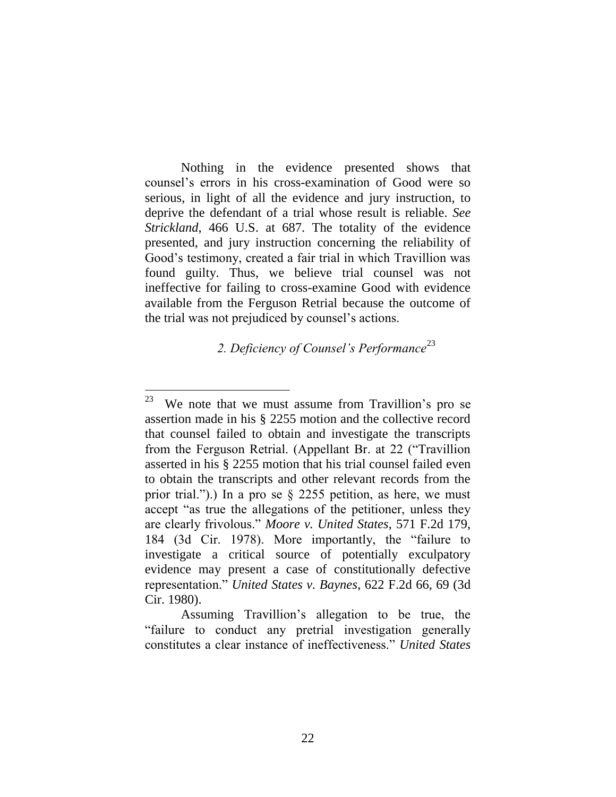Nothing in the evidence presented shows that counsel's errors in his cross-examination of Good were so serious, in light of all the evidence and jury instruction, to deprive the defendant of a trial whose result is reliable. *See Strickland*, 466 U.S. at 687. The totality of the evidence presented, and jury instruction concerning the reliability of Good's testimony, created a fair trial in which Travillion was found guilty. Thus, we believe trial counsel was not ineffective for failing to cross-examine Good with evidence available from the Ferguson Retrial because the outcome of the trial was not prejudiced by counsel's actions.

*2. Deficiency of Counsel's Performance*<sup>23</sup>

 $\overline{a}$ 

<sup>23</sup> We note that we must assume from Travillion's pro se assertion made in his § 2255 motion and the collective record that counsel failed to obtain and investigate the transcripts from the Ferguson Retrial. (Appellant Br. at 22 ("Travillion asserted in his § 2255 motion that his trial counsel failed even to obtain the transcripts and other relevant records from the prior trial.").) In a pro se § 2255 petition, as here, we must accept "as true the allegations of the petitioner, unless they are clearly frivolous." *Moore v. United States*, 571 F.2d 179, 184 (3d Cir. 1978). More importantly, the "failure to investigate a critical source of potentially exculpatory evidence may present a case of constitutionally defective representation." *United States v. Baynes*, 622 F.2d 66, 69 (3d Cir. 1980).

Assuming Travillion's allegation to be true, the "failure to conduct any pretrial investigation generally constitutes a clear instance of ineffectiveness." *United States*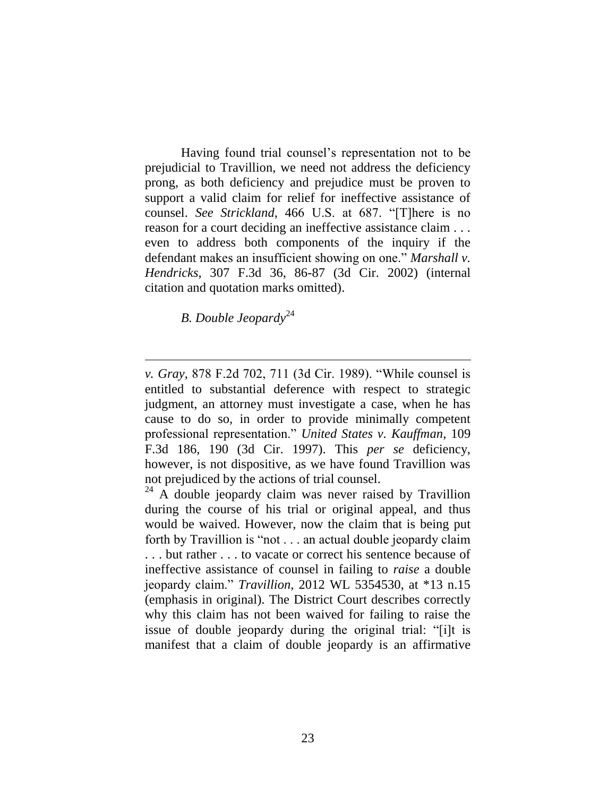Having found trial counsel's representation not to be prejudicial to Travillion, we need not address the deficiency prong, as both deficiency and prejudice must be proven to support a valid claim for relief for ineffective assistance of counsel. *See Strickland*, 466 U.S. at 687. "[T]here is no reason for a court deciding an ineffective assistance claim . . . even to address both components of the inquiry if the defendant makes an insufficient showing on one." *Marshall v. Hendricks*, 307 F.3d 36, 86-87 (3d Cir. 2002) (internal citation and quotation marks omitted).

*B. Double Jeopardy*<sup>24</sup>

*v. Gray*, 878 F.2d 702, 711 (3d Cir. 1989). "While counsel is entitled to substantial deference with respect to strategic judgment, an attorney must investigate a case, when he has cause to do so, in order to provide minimally competent professional representation." *United States v. Kauffman*, 109 F.3d 186, 190 (3d Cir. 1997). This *per se* deficiency, however, is not dispositive, as we have found Travillion was not prejudiced by the actions of trial counsel.

<sup>&</sup>lt;sup>24</sup> A double jeopardy claim was never raised by Travillion during the course of his trial or original appeal, and thus would be waived. However, now the claim that is being put forth by Travillion is "not . . . an actual double jeopardy claim . . . but rather . . . to vacate or correct his sentence because of ineffective assistance of counsel in failing to *raise* a double jeopardy claim." *Travillion*, 2012 WL 5354530, at \*13 n.15 (emphasis in original). The District Court describes correctly why this claim has not been waived for failing to raise the issue of double jeopardy during the original trial: "[i]t is manifest that a claim of double jeopardy is an affirmative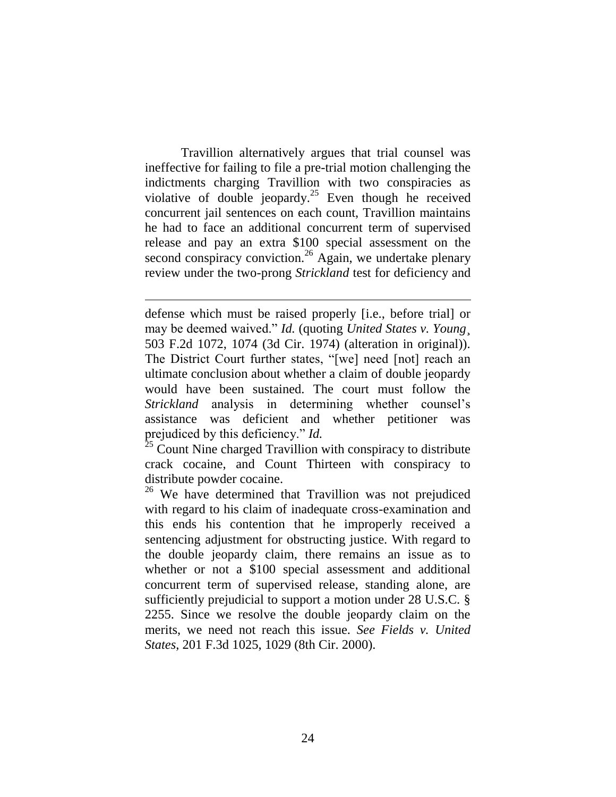Travillion alternatively argues that trial counsel was ineffective for failing to file a pre-trial motion challenging the indictments charging Travillion with two conspiracies as violative of double jeopardy.<sup>25</sup> Even though he received concurrent jail sentences on each count, Travillion maintains he had to face an additional concurrent term of supervised release and pay an extra \$100 special assessment on the second conspiracy conviction.<sup>26</sup> Again, we undertake plenary review under the two-prong *Strickland* test for deficiency and

defense which must be raised properly [i.e., before trial] or may be deemed waived." *Id.* (quoting *United States v. Young*¸ 503 F.2d 1072, 1074 (3d Cir. 1974) (alteration in original)). The District Court further states, "[we] need [not] reach an ultimate conclusion about whether a claim of double jeopardy would have been sustained. The court must follow the *Strickland* analysis in determining whether counsel's assistance was deficient and whether petitioner was prejudiced by this deficiency." *Id.*

 $\overline{a}$ 

 $25$  Count Nine charged Travillion with conspiracy to distribute crack cocaine, and Count Thirteen with conspiracy to distribute powder cocaine.

<sup>26</sup> We have determined that Travillion was not prejudiced with regard to his claim of inadequate cross-examination and this ends his contention that he improperly received a sentencing adjustment for obstructing justice. With regard to the double jeopardy claim, there remains an issue as to whether or not a \$100 special assessment and additional concurrent term of supervised release, standing alone, are sufficiently prejudicial to support a motion under 28 U.S.C. § 2255. Since we resolve the double jeopardy claim on the merits, we need not reach this issue. *See Fields v. United States*, 201 F.3d 1025, 1029 (8th Cir. 2000).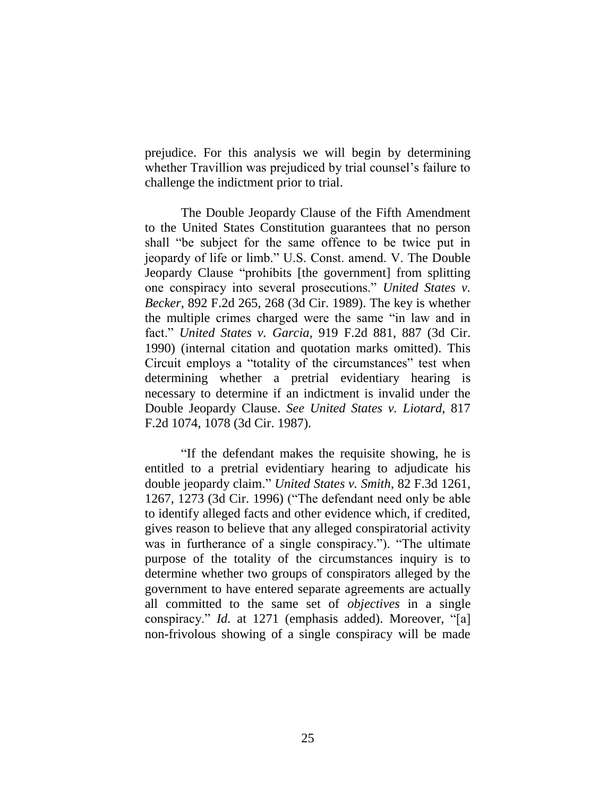prejudice. For this analysis we will begin by determining whether Travillion was prejudiced by trial counsel's failure to challenge the indictment prior to trial.

The Double Jeopardy Clause of the Fifth Amendment to the United States Constitution guarantees that no person shall "be subject for the same offence to be twice put in jeopardy of life or limb." U.S. Const. amend. V. The Double Jeopardy Clause "prohibits [the government] from splitting one conspiracy into several prosecutions." *United States v. Becker*, 892 F.2d 265, 268 (3d Cir. 1989). The key is whether the multiple crimes charged were the same "in law and in fact." *United States v. Garcia*, 919 F.2d 881, 887 (3d Cir. 1990) (internal citation and quotation marks omitted). This Circuit employs a "totality of the circumstances" test when determining whether a pretrial evidentiary hearing is necessary to determine if an indictment is invalid under the Double Jeopardy Clause. *See United States v. Liotard*, 817 F.2d 1074, 1078 (3d Cir. 1987).

"If the defendant makes the requisite showing, he is entitled to a pretrial evidentiary hearing to adjudicate his double jeopardy claim." *United States v. Smith*, 82 F.3d 1261, 1267, 1273 (3d Cir. 1996) ("The defendant need only be able to identify alleged facts and other evidence which, if credited, gives reason to believe that any alleged conspiratorial activity was in furtherance of a single conspiracy."). "The ultimate purpose of the totality of the circumstances inquiry is to determine whether two groups of conspirators alleged by the government to have entered separate agreements are actually all committed to the same set of *objectives* in a single conspiracy." *Id.* at 1271 (emphasis added). Moreover, "[a] non-frivolous showing of a single conspiracy will be made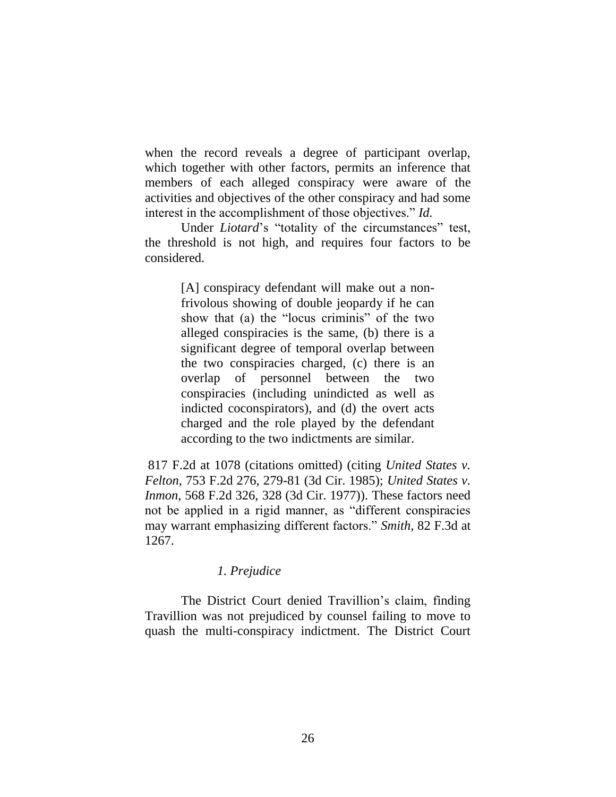when the record reveals a degree of participant overlap, which together with other factors, permits an inference that members of each alleged conspiracy were aware of the activities and objectives of the other conspiracy and had some interest in the accomplishment of those objectives." *Id.*

Under *Liotard*'s "totality of the circumstances" test, the threshold is not high, and requires four factors to be considered.

> [A] conspiracy defendant will make out a nonfrivolous showing of double jeopardy if he can show that (a) the "locus criminis" of the two alleged conspiracies is the same, (b) there is a significant degree of temporal overlap between the two conspiracies charged, (c) there is an overlap of personnel between the two conspiracies (including unindicted as well as indicted coconspirators), and (d) the overt acts charged and the role played by the defendant according to the two indictments are similar.

817 F.2d at 1078 (citations omitted) (citing *United States v. Felton*, 753 F.2d 276, 279-81 (3d Cir. 1985); *United States v. Inmon*, 568 F.2d 326, 328 (3d Cir. 1977)). These factors need not be applied in a rigid manner, as "different conspiracies may warrant emphasizing different factors." *Smith*, 82 F.3d at 1267.

# *1. Prejudice*

The District Court denied Travillion's claim, finding Travillion was not prejudiced by counsel failing to move to quash the multi-conspiracy indictment. The District Court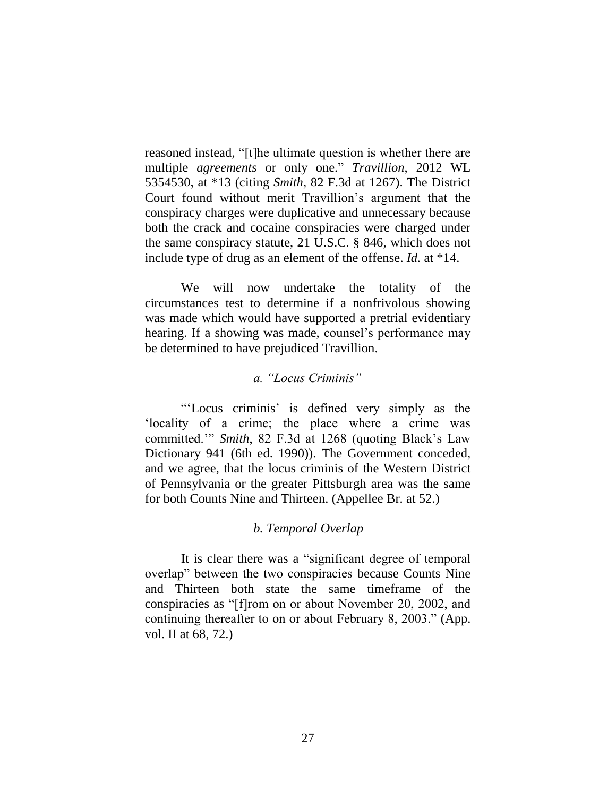reasoned instead, "[t]he ultimate question is whether there are multiple *agreements* or only one." *Travillion*, 2012 WL 5354530, at \*13 (citing *Smith*, 82 F.3d at 1267). The District Court found without merit Travillion's argument that the conspiracy charges were duplicative and unnecessary because both the crack and cocaine conspiracies were charged under the same conspiracy statute, 21 U.S.C. § 846, which does not include type of drug as an element of the offense. *Id.* at \*14.

We will now undertake the totality of the circumstances test to determine if a nonfrivolous showing was made which would have supported a pretrial evidentiary hearing. If a showing was made, counsel's performance may be determined to have prejudiced Travillion.

## *a. "Locus Criminis"*

"'Locus criminis' is defined very simply as the 'locality of a crime; the place where a crime was committed.'" *Smith*, 82 F.3d at 1268 (quoting Black's Law Dictionary 941 (6th ed. 1990)). The Government conceded, and we agree, that the locus criminis of the Western District of Pennsylvania or the greater Pittsburgh area was the same for both Counts Nine and Thirteen. (Appellee Br. at 52.)

# *b. Temporal Overlap*

It is clear there was a "significant degree of temporal overlap" between the two conspiracies because Counts Nine and Thirteen both state the same timeframe of the conspiracies as "[f]rom on or about November 20, 2002, and continuing thereafter to on or about February 8, 2003." (App. vol. II at 68, 72.)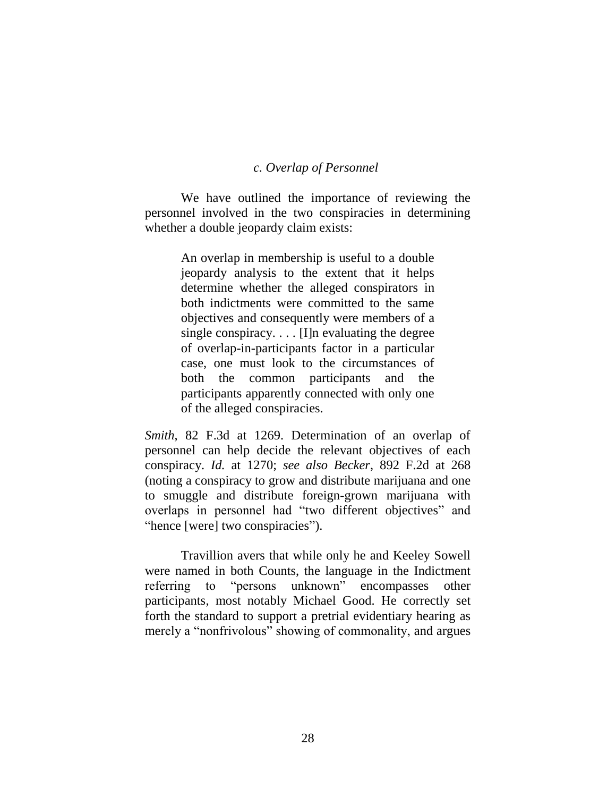## *c. Overlap of Personnel*

We have outlined the importance of reviewing the personnel involved in the two conspiracies in determining whether a double jeopardy claim exists:

> An overlap in membership is useful to a double jeopardy analysis to the extent that it helps determine whether the alleged conspirators in both indictments were committed to the same objectives and consequently were members of a single conspiracy.  $\ldots$  [I]n evaluating the degree of overlap-in-participants factor in a particular case, one must look to the circumstances of both the common participants and the participants apparently connected with only one of the alleged conspiracies.

*Smith*, 82 F.3d at 1269. Determination of an overlap of personnel can help decide the relevant objectives of each conspiracy. *Id.* at 1270; *see also Becker*, 892 F.2d at 268 (noting a conspiracy to grow and distribute marijuana and one to smuggle and distribute foreign-grown marijuana with overlaps in personnel had "two different objectives" and "hence [were] two conspiracies").

Travillion avers that while only he and Keeley Sowell were named in both Counts, the language in the Indictment referring to "persons unknown" encompasses other participants, most notably Michael Good. He correctly set forth the standard to support a pretrial evidentiary hearing as merely a "nonfrivolous" showing of commonality, and argues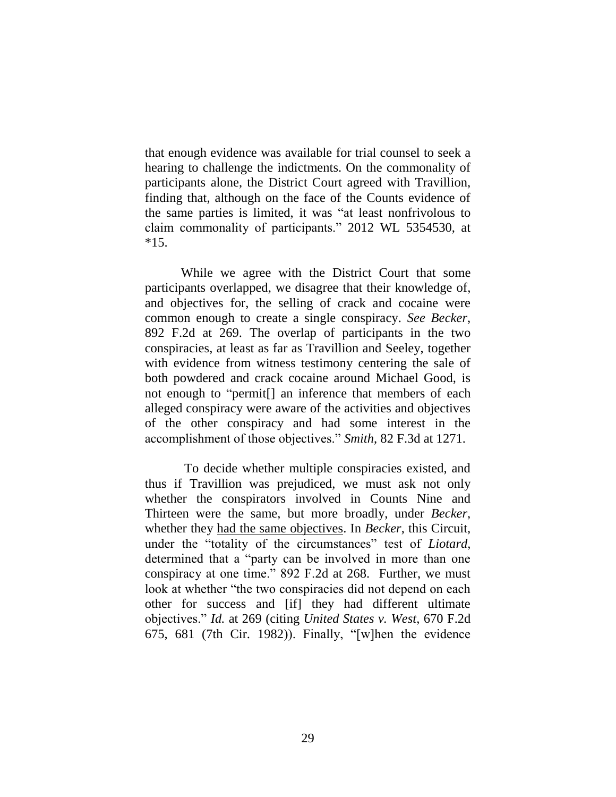that enough evidence was available for trial counsel to seek a hearing to challenge the indictments. On the commonality of participants alone, the District Court agreed with Travillion, finding that, although on the face of the Counts evidence of the same parties is limited, it was "at least nonfrivolous to claim commonality of participants." 2012 WL 5354530, at  $*15.$ 

While we agree with the District Court that some participants overlapped, we disagree that their knowledge of, and objectives for, the selling of crack and cocaine were common enough to create a single conspiracy. *See Becker*, 892 F.2d at 269. The overlap of participants in the two conspiracies, at least as far as Travillion and Seeley, together with evidence from witness testimony centering the sale of both powdered and crack cocaine around Michael Good, is not enough to "permit[] an inference that members of each alleged conspiracy were aware of the activities and objectives of the other conspiracy and had some interest in the accomplishment of those objectives." *Smith*, 82 F.3d at 1271.

To decide whether multiple conspiracies existed, and thus if Travillion was prejudiced, we must ask not only whether the conspirators involved in Counts Nine and Thirteen were the same, but more broadly, under *Becker*, whether they had the same objectives. In *Becker*, this Circuit, under the "totality of the circumstances" test of *Liotard*, determined that a "party can be involved in more than one conspiracy at one time." 892 F.2d at 268. Further, we must look at whether "the two conspiracies did not depend on each other for success and [if] they had different ultimate objectives." *Id.* at 269 (citing *United States v. West*, 670 F.2d 675, 681 (7th Cir. 1982)). Finally, "[w]hen the evidence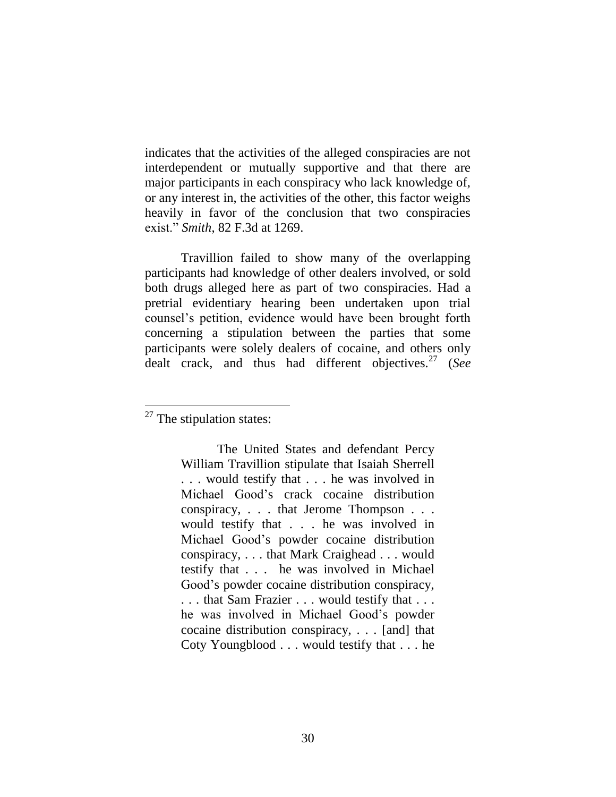indicates that the activities of the alleged conspiracies are not interdependent or mutually supportive and that there are major participants in each conspiracy who lack knowledge of, or any interest in, the activities of the other, this factor weighs heavily in favor of the conclusion that two conspiracies exist." *Smith*, 82 F.3d at 1269.

Travillion failed to show many of the overlapping participants had knowledge of other dealers involved, or sold both drugs alleged here as part of two conspiracies. Had a pretrial evidentiary hearing been undertaken upon trial counsel's petition, evidence would have been brought forth concerning a stipulation between the parties that some participants were solely dealers of cocaine, and others only dealt crack, and thus had different objectives.<sup>27</sup> (*See* 

 $\overline{a}$ 

 $27$  The stipulation states:

The United States and defendant Percy William Travillion stipulate that Isaiah Sherrell . . . would testify that . . . he was involved in Michael Good's crack cocaine distribution conspiracy, . . . that Jerome Thompson . . . would testify that . . . he was involved in Michael Good's powder cocaine distribution conspiracy, . . . that Mark Craighead . . . would testify that . . . he was involved in Michael Good's powder cocaine distribution conspiracy, . . . that Sam Frazier . . . would testify that . . . he was involved in Michael Good's powder cocaine distribution conspiracy, . . . [and] that Coty Youngblood . . . would testify that . . . he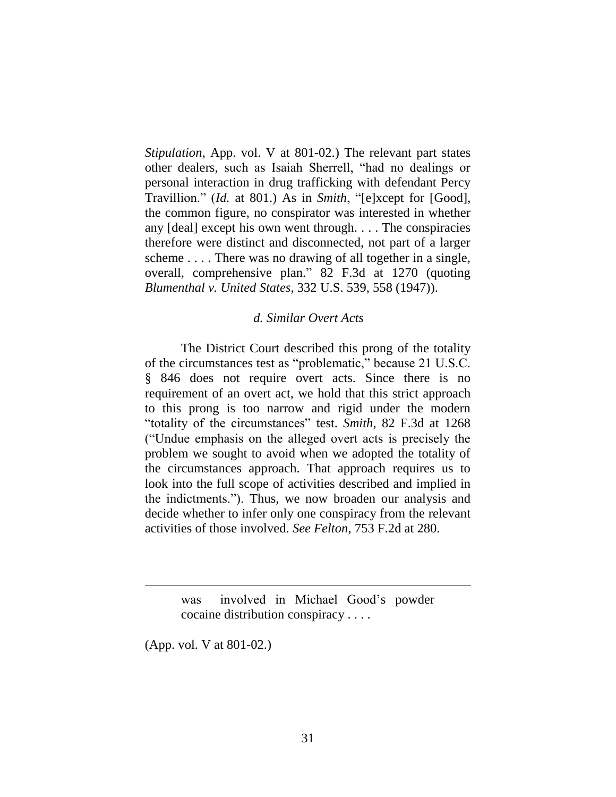*Stipulation*, App. vol. V at 801-02.) The relevant part states other dealers, such as Isaiah Sherrell, "had no dealings or personal interaction in drug trafficking with defendant Percy Travillion." (*Id.* at 801.) As in *Smith*, "[e]xcept for [Good], the common figure, no conspirator was interested in whether any [deal] except his own went through. . . . The conspiracies therefore were distinct and disconnected, not part of a larger scheme . . . . There was no drawing of all together in a single, overall, comprehensive plan." 82 F.3d at 1270 (quoting *Blumenthal v. United States*, 332 U.S. 539, 558 (1947)).

#### *d. Similar Overt Acts*

The District Court described this prong of the totality of the circumstances test as "problematic," because 21 U.S.C. § 846 does not require overt acts. Since there is no requirement of an overt act, we hold that this strict approach to this prong is too narrow and rigid under the modern "totality of the circumstances" test. *Smith*, 82 F.3d at 1268 ("Undue emphasis on the alleged overt acts is precisely the problem we sought to avoid when we adopted the totality of the circumstances approach. That approach requires us to look into the full scope of activities described and implied in the indictments."). Thus, we now broaden our analysis and decide whether to infer only one conspiracy from the relevant activities of those involved. *See Felton*, 753 F.2d at 280.

> was involved in Michael Good's powder cocaine distribution conspiracy . . . .

(App. vol. V at 801-02.)

 $\overline{a}$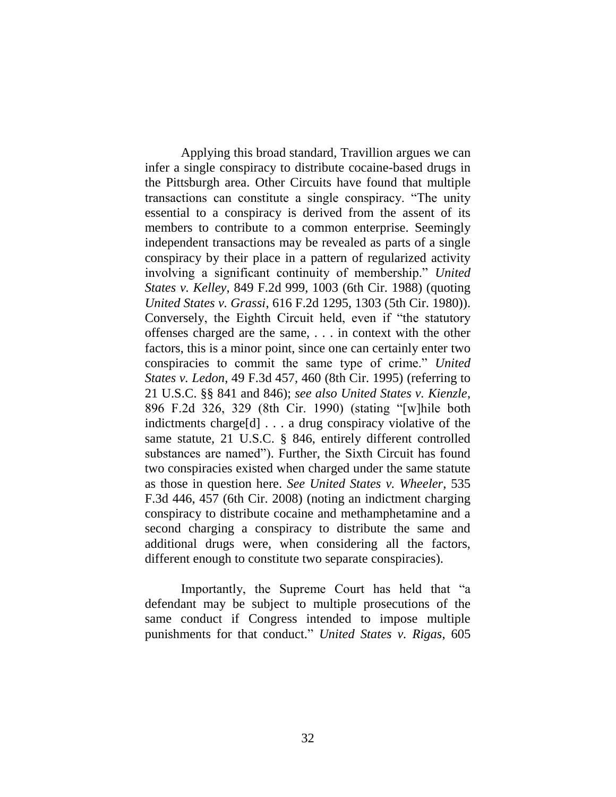Applying this broad standard, Travillion argues we can infer a single conspiracy to distribute cocaine-based drugs in the Pittsburgh area. Other Circuits have found that multiple transactions can constitute a single conspiracy. "The unity essential to a conspiracy is derived from the assent of its members to contribute to a common enterprise. Seemingly independent transactions may be revealed as parts of a single conspiracy by their place in a pattern of regularized activity involving a significant continuity of membership." *United States v. Kelley*, 849 F.2d 999, 1003 (6th Cir. 1988) (quoting *United States v. Grassi*, 616 F.2d 1295, 1303 (5th Cir. 1980)). Conversely, the Eighth Circuit held, even if "the statutory offenses charged are the same, . . . in context with the other factors, this is a minor point, since one can certainly enter two conspiracies to commit the same type of crime." *United States v. Ledon*, 49 F.3d 457, 460 (8th Cir. 1995) (referring to 21 U.S.C. §§ 841 and 846); *see also United States v. Kienzle*, 896 F.2d 326, 329 (8th Cir. 1990) (stating "[w]hile both indictments charge[d] . . . a drug conspiracy violative of the same statute, 21 U.S.C. § 846, entirely different controlled substances are named"). Further, the Sixth Circuit has found two conspiracies existed when charged under the same statute as those in question here. *See United States v. Wheeler*, 535 F.3d 446, 457 (6th Cir. 2008) (noting an indictment charging conspiracy to distribute cocaine and methamphetamine and a second charging a conspiracy to distribute the same and additional drugs were, when considering all the factors, different enough to constitute two separate conspiracies).

Importantly, the Supreme Court has held that "a defendant may be subject to multiple prosecutions of the same conduct if Congress intended to impose multiple punishments for that conduct." *United States v. Rigas*, 605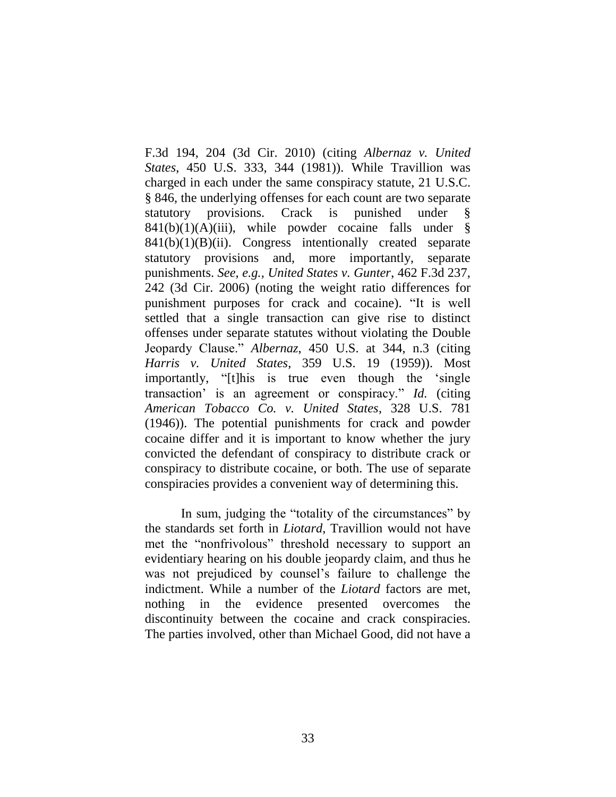F.3d 194, 204 (3d Cir. 2010) (citing *Albernaz v. United States*, 450 U.S. 333, 344 (1981)). While Travillion was charged in each under the same conspiracy statute, 21 U.S.C. § 846, the underlying offenses for each count are two separate statutory provisions. Crack is punished under §  $841(b)(1)(A)(iii)$ , while powder cocaine falls under §  $841(b)(1)(B)(ii)$ . Congress intentionally created separate statutory provisions and, more importantly, separate punishments. *See, e.g., United States v. Gunter*, 462 F.3d 237, 242 (3d Cir. 2006) (noting the weight ratio differences for punishment purposes for crack and cocaine). "It is well settled that a single transaction can give rise to distinct offenses under separate statutes without violating the Double Jeopardy Clause." *Albernaz*, 450 U.S. at 344, n.3 (citing *Harris v. United States*, 359 U.S. 19 (1959)). Most importantly, "[t]his is true even though the 'single transaction' is an agreement or conspiracy." *Id.* (citing *American Tobacco Co. v. United States*, 328 U.S. 781 (1946)). The potential punishments for crack and powder cocaine differ and it is important to know whether the jury convicted the defendant of conspiracy to distribute crack or conspiracy to distribute cocaine, or both. The use of separate conspiracies provides a convenient way of determining this.

In sum, judging the "totality of the circumstances" by the standards set forth in *Liotard*, Travillion would not have met the "nonfrivolous" threshold necessary to support an evidentiary hearing on his double jeopardy claim, and thus he was not prejudiced by counsel's failure to challenge the indictment. While a number of the *Liotard* factors are met, nothing in the evidence presented overcomes the discontinuity between the cocaine and crack conspiracies. The parties involved, other than Michael Good, did not have a